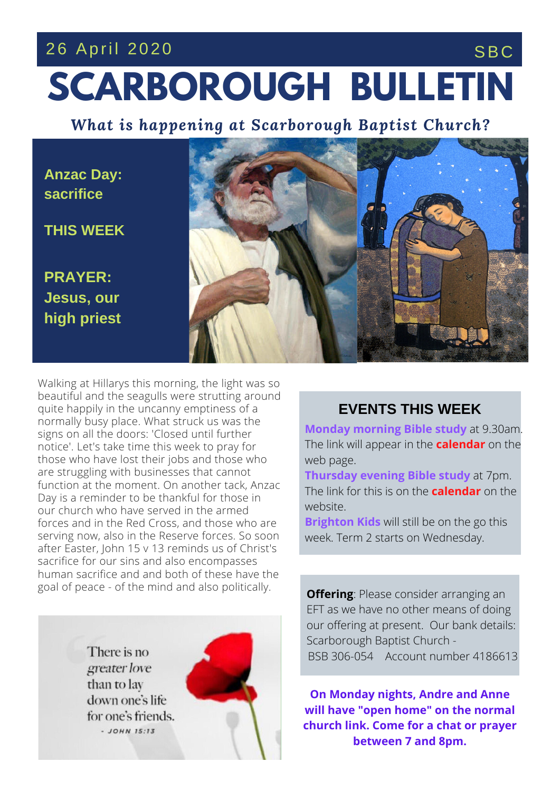# **SCARBOROUGH BULLETIN** 26 April 2020 SBC

*What is happening at Scarborough Baptist Church?*

**Anzac Day: sacrifice**

**THIS WEEK**

**PRAYER: Jesus, our high priest**



function at the moment. On another tack, An<br>Day is a reminder to be thankful for those in our church who have served in the armed Walking at Hillarys this morning, the light was so beautiful and the seagulls were strutting around quite happily in the uncanny emptiness of a normally busy place. What struck us was the signs on all the doors: 'Closed until further notice'. Let's take time this week to pray for those who have lost their jobs and those who are struggling with businesses that cannot function at the moment. On another tack, Anzac forces and in the Red Cross, and those who are serving now, also in the Reserve forces. So soon after Easter, John 15 v 13 reminds us of Christ's sacrifice for our sins and also encompasses human sacrifice and and both of these have the goal of peace - of the mind and also politically.

> There is no greater love than to lay down one's life for one's friends.  $-$  JOHN 15:13



### **EVENTS THIS WEEK**

**Monday morning Bible study** at 9.30am. The link will appear in the **calendar** on the web page.

**Thursday evening Bible study** at 7pm. The link for this is on the **calendar** on the website.

**Brighton Kids** will still be on the go this week. Term 2 starts on Wednesday.

**Offering**: Please consider arranging an EFT as we have no other means of doing our offering at present. Our bank details: Scarborough Baptist Church - BSB 306-054 Account number 4186613

**On Monday nights, Andre and Anne will have "open home" on the normal church link. Come for a chat or prayer between 7 and 8pm.**